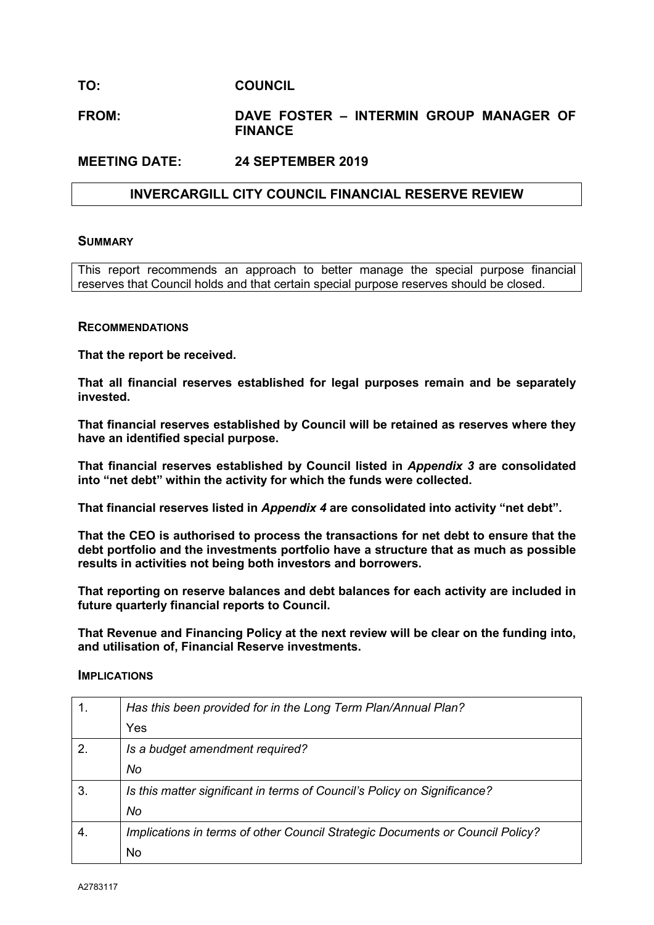## **TO: COUNCIL**

## **FROM: DAVE FOSTER – INTERMIN GROUP MANAGER OF FINANCE**

#### **MEETING DATE: 24 SEPTEMBER 2019**

## **INVERCARGILL CITY COUNCIL FINANCIAL RESERVE REVIEW**

#### **SUMMARY**

This report recommends an approach to better manage the special purpose financial reserves that Council holds and that certain special purpose reserves should be closed.

#### **RECOMMENDATIONS**

**That the report be received.**

**That all financial reserves established for legal purposes remain and be separately invested.**

**That financial reserves established by Council will be retained as reserves where they have an identified special purpose.**

**That financial reserves established by Council listed in** *Appendix 3* **are consolidated into "net debt" within the activity for which the funds were collected.**

**That financial reserves listed in** *Appendix 4* **are consolidated into activity "net debt".** 

**That the CEO is authorised to process the transactions for net debt to ensure that the debt portfolio and the investments portfolio have a structure that as much as possible results in activities not being both investors and borrowers.**

**That reporting on reserve balances and debt balances for each activity are included in future quarterly financial reports to Council.**

**That Revenue and Financing Policy at the next review will be clear on the funding into, and utilisation of, Financial Reserve investments.**

#### **IMPLICATIONS**

| 1. | Has this been provided for in the Long Term Plan/Annual Plan?                 |
|----|-------------------------------------------------------------------------------|
|    | Yes                                                                           |
| 2. | Is a budget amendment required?                                               |
|    | No                                                                            |
| 3. | Is this matter significant in terms of Council's Policy on Significance?      |
|    | No                                                                            |
| 4. | Implications in terms of other Council Strategic Documents or Council Policy? |
|    | No                                                                            |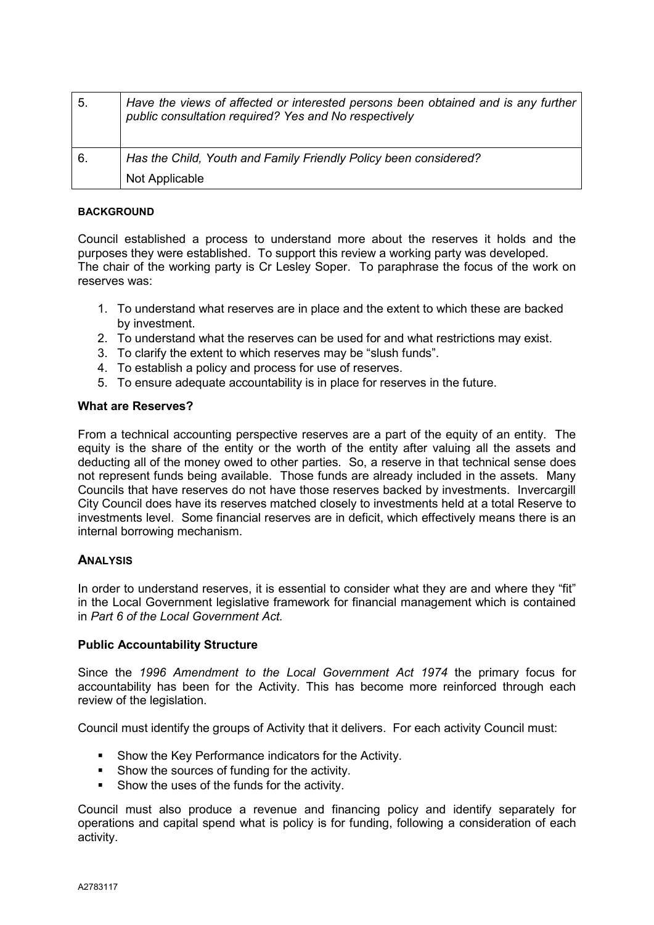| 5. | Have the views of affected or interested persons been obtained and is any further<br>public consultation required? Yes and No respectively |
|----|--------------------------------------------------------------------------------------------------------------------------------------------|
| 6. | Has the Child, Youth and Family Friendly Policy been considered?                                                                           |
|    | Not Applicable                                                                                                                             |

#### **BACKGROUND**

Council established a process to understand more about the reserves it holds and the purposes they were established. To support this review a working party was developed. The chair of the working party is Cr Lesley Soper. To paraphrase the focus of the work on reserves was:

- 1. To understand what reserves are in place and the extent to which these are backed by investment.
- 2. To understand what the reserves can be used for and what restrictions may exist.
- 3. To clarify the extent to which reserves may be "slush funds".
- 4. To establish a policy and process for use of reserves.
- 5. To ensure adequate accountability is in place for reserves in the future.

#### **What are Reserves?**

From a technical accounting perspective reserves are a part of the equity of an entity. The equity is the share of the entity or the worth of the entity after valuing all the assets and deducting all of the money owed to other parties. So, a reserve in that technical sense does not represent funds being available. Those funds are already included in the assets. Many Councils that have reserves do not have those reserves backed by investments. Invercargill City Council does have its reserves matched closely to investments held at a total Reserve to investments level. Some financial reserves are in deficit, which effectively means there is an internal borrowing mechanism.

#### **ANALYSIS**

In order to understand reserves, it is essential to consider what they are and where they "fit" in the Local Government legislative framework for financial management which is contained in *Part 6 of the Local Government Act.*

#### **Public Accountability Structure**

Since the *1996 Amendment to the Local Government Act 1974* the primary focus for accountability has been for the Activity. This has become more reinforced through each review of the legislation.

Council must identify the groups of Activity that it delivers. For each activity Council must:

- **Show the Key Performance indicators for the Activity.**
- **Show the sources of funding for the activity.**
- Show the uses of the funds for the activity.

Council must also produce a revenue and financing policy and identify separately for operations and capital spend what is policy is for funding, following a consideration of each activity.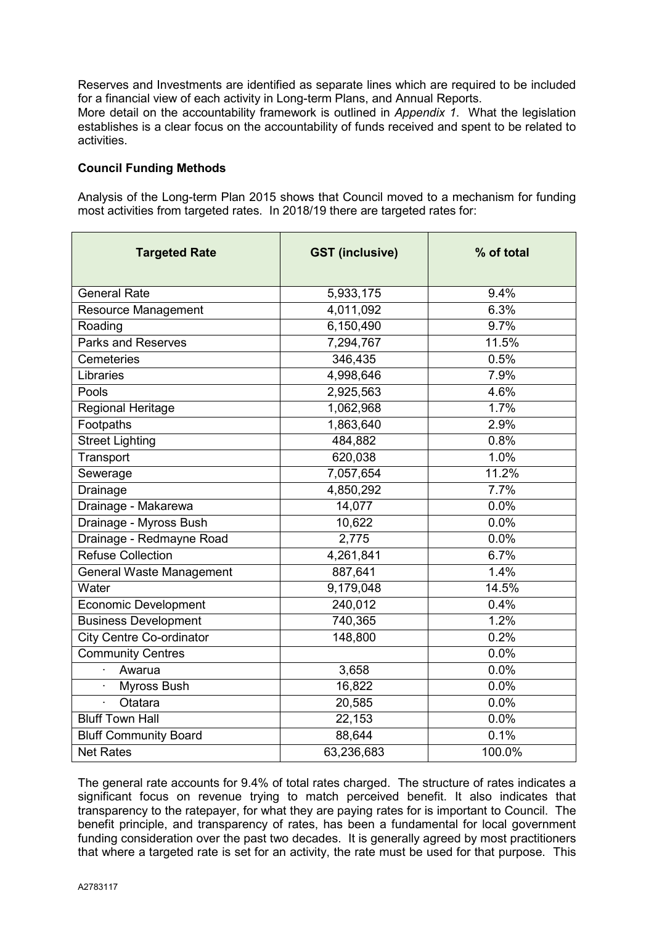Reserves and Investments are identified as separate lines which are required to be included for a financial view of each activity in Long-term Plans, and Annual Reports.

More detail on the accountability framework is outlined in *Appendix 1*. What the legislation establishes is a clear focus on the accountability of funds received and spent to be related to activities.

#### **Council Funding Methods**

Analysis of the Long-term Plan 2015 shows that Council moved to a mechanism for funding most activities from targeted rates. In 2018/19 there are targeted rates for:

| <b>Targeted Rate</b>            | <b>GST (inclusive)</b> | % of total |
|---------------------------------|------------------------|------------|
| <b>General Rate</b>             | 5,933,175              | 9.4%       |
| <b>Resource Management</b>      | 4,011,092              | 6.3%       |
| Roading                         | 6,150,490              | 9.7%       |
| <b>Parks and Reserves</b>       | 7,294,767              | 11.5%      |
| Cemeteries                      | 346,435                | 0.5%       |
| Libraries                       | 4,998,646              | 7.9%       |
| Pools                           | 2,925,563              | 4.6%       |
| Regional Heritage               | 1,062,968              | 1.7%       |
| Footpaths                       | 1,863,640              | 2.9%       |
| <b>Street Lighting</b>          | 484,882                | 0.8%       |
| Transport                       | 620,038                | 1.0%       |
| Sewerage                        | 7,057,654              | 11.2%      |
| Drainage                        | 4,850,292              | 7.7%       |
| Drainage - Makarewa             | 14,077                 | 0.0%       |
| Drainage - Myross Bush          | 10,622                 | 0.0%       |
| Drainage - Redmayne Road        | 2,775                  | 0.0%       |
| <b>Refuse Collection</b>        | $\overline{4,}261,841$ | 6.7%       |
| General Waste Management        | 887,641                | 1.4%       |
| Water                           | 9,179,048              | 14.5%      |
| <b>Economic Development</b>     | 240,012                | 0.4%       |
| <b>Business Development</b>     | 740,365                | 1.2%       |
| <b>City Centre Co-ordinator</b> | 148,800                | 0.2%       |
| <b>Community Centres</b>        |                        | 0.0%       |
| Awarua                          | 3,658                  | 0.0%       |
| Myross Bush                     | 16,822                 | 0.0%       |
| Otatara<br>ä,                   | 20,585                 | 0.0%       |
| <b>Bluff Town Hall</b>          | 22,153                 | 0.0%       |
| <b>Bluff Community Board</b>    | 88,644                 | 0.1%       |
| <b>Net Rates</b>                | 63,236,683             | 100.0%     |

The general rate accounts for 9.4% of total rates charged. The structure of rates indicates a significant focus on revenue trying to match perceived benefit. It also indicates that transparency to the ratepayer, for what they are paying rates for is important to Council. The benefit principle, and transparency of rates, has been a fundamental for local government funding consideration over the past two decades. It is generally agreed by most practitioners that where a targeted rate is set for an activity, the rate must be used for that purpose. This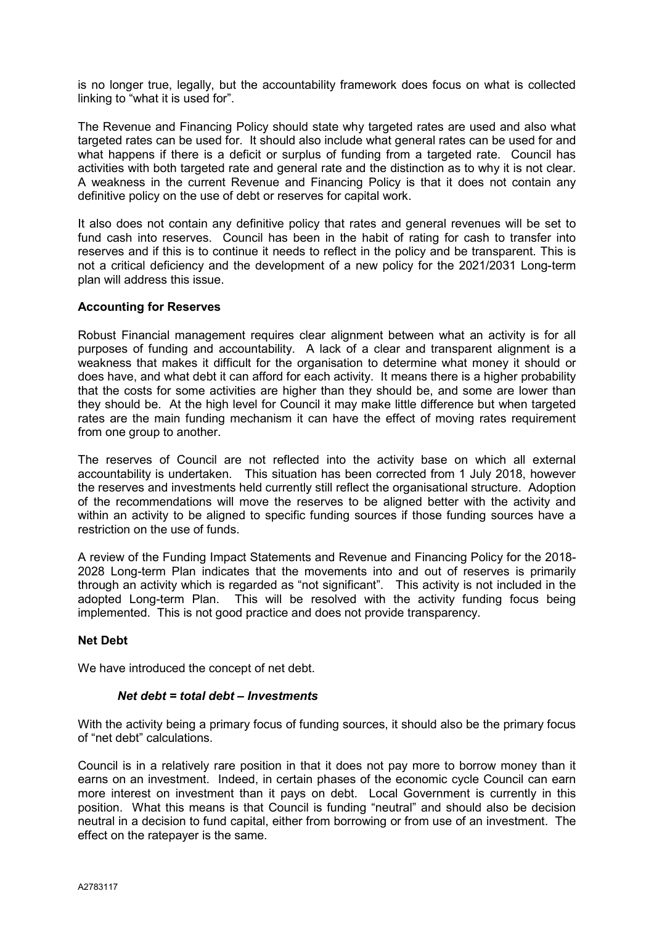is no longer true, legally, but the accountability framework does focus on what is collected linking to "what it is used for".

The Revenue and Financing Policy should state why targeted rates are used and also what targeted rates can be used for. It should also include what general rates can be used for and what happens if there is a deficit or surplus of funding from a targeted rate. Council has activities with both targeted rate and general rate and the distinction as to why it is not clear. A weakness in the current Revenue and Financing Policy is that it does not contain any definitive policy on the use of debt or reserves for capital work.

It also does not contain any definitive policy that rates and general revenues will be set to fund cash into reserves. Council has been in the habit of rating for cash to transfer into reserves and if this is to continue it needs to reflect in the policy and be transparent. This is not a critical deficiency and the development of a new policy for the 2021/2031 Long-term plan will address this issue.

#### **Accounting for Reserves**

Robust Financial management requires clear alignment between what an activity is for all purposes of funding and accountability. A lack of a clear and transparent alignment is a weakness that makes it difficult for the organisation to determine what money it should or does have, and what debt it can afford for each activity. It means there is a higher probability that the costs for some activities are higher than they should be, and some are lower than they should be. At the high level for Council it may make little difference but when targeted rates are the main funding mechanism it can have the effect of moving rates requirement from one group to another.

The reserves of Council are not reflected into the activity base on which all external accountability is undertaken. This situation has been corrected from 1 July 2018, however the reserves and investments held currently still reflect the organisational structure. Adoption of the recommendations will move the reserves to be aligned better with the activity and within an activity to be aligned to specific funding sources if those funding sources have a restriction on the use of funds.

A review of the Funding Impact Statements and Revenue and Financing Policy for the 2018- 2028 Long-term Plan indicates that the movements into and out of reserves is primarily through an activity which is regarded as "not significant". This activity is not included in the adopted Long-term Plan. This will be resolved with the activity funding focus being implemented. This is not good practice and does not provide transparency.

#### **Net Debt**

We have introduced the concept of net debt.

#### *Net debt = total debt – Investments*

With the activity being a primary focus of funding sources, it should also be the primary focus of "net debt" calculations.

Council is in a relatively rare position in that it does not pay more to borrow money than it earns on an investment. Indeed, in certain phases of the economic cycle Council can earn more interest on investment than it pays on debt. Local Government is currently in this position. What this means is that Council is funding "neutral" and should also be decision neutral in a decision to fund capital, either from borrowing or from use of an investment. The effect on the ratepayer is the same.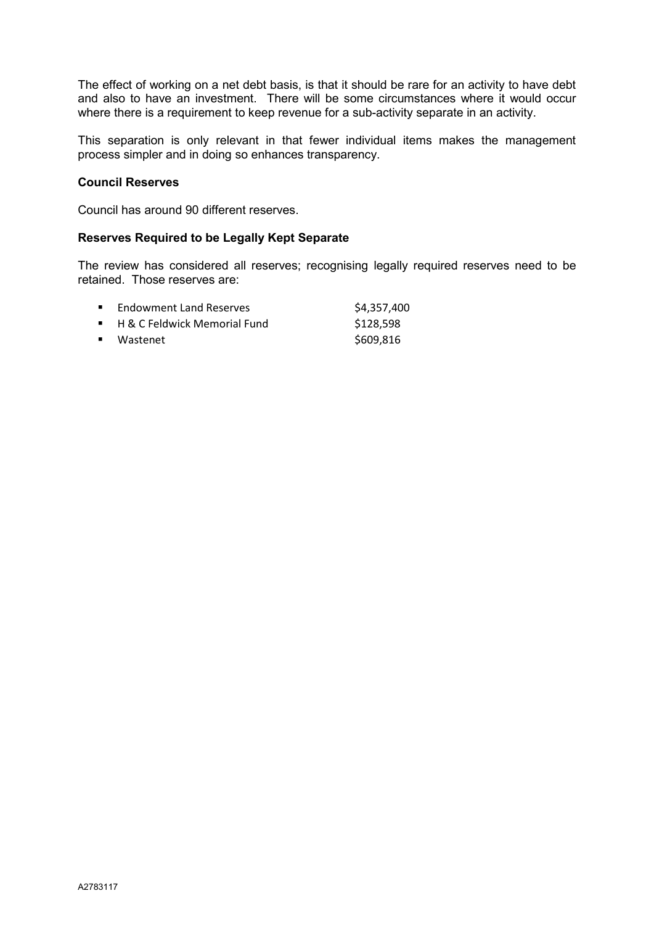The effect of working on a net debt basis, is that it should be rare for an activity to have debt and also to have an investment. There will be some circumstances where it would occur where there is a requirement to keep revenue for a sub-activity separate in an activity.

This separation is only relevant in that fewer individual items makes the management process simpler and in doing so enhances transparency.

#### **Council Reserves**

Council has around 90 different reserves.

#### **Reserves Required to be Legally Kept Separate**

The review has considered all reserves; recognising legally required reserves need to be retained. Those reserves are:

| <b>Endowment Land Reserves</b> | \$4,357,400 |
|--------------------------------|-------------|
| ■ H & C Feldwick Memorial Fund | \$128,598   |
| ■ Wastenet                     | \$609,816   |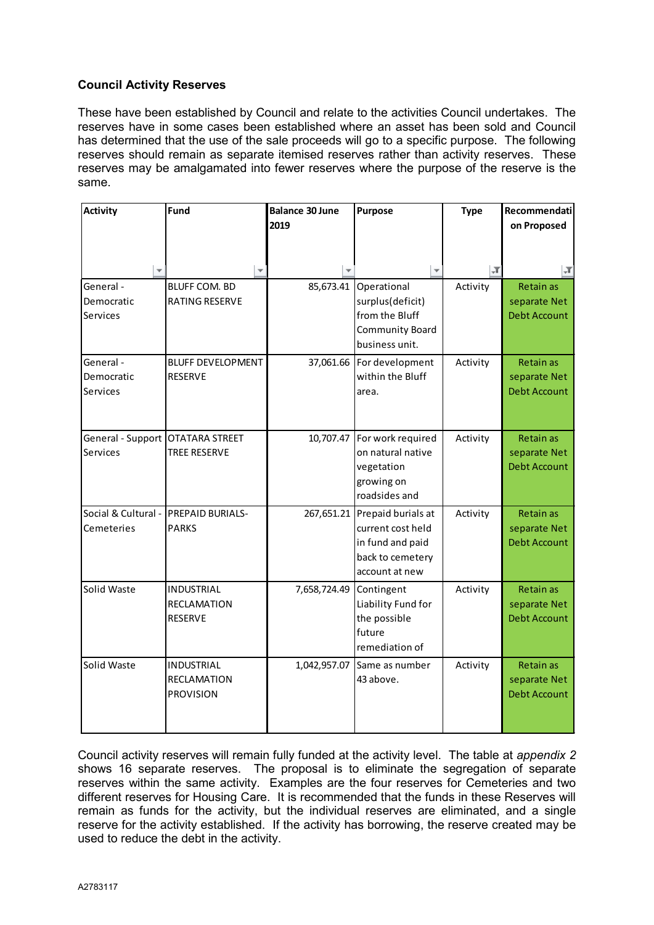### **Council Activity Reserves**

These have been established by Council and relate to the activities Council undertakes. The reserves have in some cases been established where an asset has been sold and Council has determined that the use of the sale proceeds will go to a specific purpose. The following reserves should remain as separate itemised reserves rather than activity reserves. These reserves may be amalgamated into fewer reserves where the purpose of the reserve is the same.

| <b>Activity</b>                  | Fund                     | <b>Balance 30 June</b> | Purpose                       | <b>Type</b> | Recommendati        |
|----------------------------------|--------------------------|------------------------|-------------------------------|-------------|---------------------|
|                                  |                          | 2019                   |                               |             | on Proposed         |
|                                  |                          |                        |                               |             |                     |
|                                  |                          |                        |                               |             |                     |
| $\overline{\phantom{a}}$         |                          |                        |                               | $\sqrt{1}$  | IЛ                  |
| General -                        | <b>BLUFF COM. BD</b>     |                        | 85,673.41 Operational         | Activity    | <b>Retain as</b>    |
| Democratic                       | RATING RESERVE           |                        | surplus(deficit)              |             | separate Net        |
| Services                         |                          |                        | from the Bluff                |             | <b>Debt Account</b> |
|                                  |                          |                        | Community Board               |             |                     |
|                                  |                          |                        | business unit.                |             |                     |
| General -                        | <b>BLUFF DEVELOPMENT</b> | 37,061.66              | For development               | Activity    | Retain as           |
| Democratic                       | <b>RESERVE</b>           |                        | within the Bluff              |             | separate Net        |
| Services                         |                          |                        | area.                         |             | <b>Debt Account</b> |
|                                  |                          |                        |                               |             |                     |
|                                  |                          |                        |                               |             |                     |
| General - Support OTATARA STREET |                          |                        | 10,707.47 For work required   | Activity    | Retain as           |
| Services                         | <b>TREE RESERVE</b>      |                        | on natural native             |             | separate Net        |
|                                  |                          |                        | vegetation                    |             | <b>Debt Account</b> |
|                                  |                          |                        | growing on                    |             |                     |
|                                  |                          |                        | roadsides and                 |             |                     |
| Social & Cultural -              | <b>PREPAID BURIALS-</b>  |                        | 267,651.21 Prepaid burials at | Activity    | Retain as           |
| Cemeteries                       | <b>PARKS</b>             |                        | current cost held             |             | separate Net        |
|                                  |                          |                        | in fund and paid              |             | <b>Debt Account</b> |
|                                  |                          |                        | back to cemetery              |             |                     |
|                                  |                          |                        | account at new                |             |                     |
| Solid Waste                      | <b>INDUSTRIAL</b>        | 7,658,724.49           | Contingent                    | Activity    | <b>Retain as</b>    |
|                                  | <b>RECLAMATION</b>       |                        | Liability Fund for            |             | separate Net        |
|                                  | <b>RESERVE</b>           |                        | the possible                  |             | <b>Debt Account</b> |
|                                  |                          |                        | future                        |             |                     |
|                                  |                          |                        | remediation of                |             |                     |
| Solid Waste                      | <b>INDUSTRIAL</b>        | 1,042,957.07           | Same as number                | Activity    | Retain as           |
|                                  | <b>RECLAMATION</b>       |                        | 43 above.                     |             | separate Net        |
|                                  | <b>PROVISION</b>         |                        |                               |             | <b>Debt Account</b> |
|                                  |                          |                        |                               |             |                     |
|                                  |                          |                        |                               |             |                     |

Council activity reserves will remain fully funded at the activity level. The table at *appendix 2*  shows 16 separate reserves. The proposal is to eliminate the segregation of separate reserves within the same activity. Examples are the four reserves for Cemeteries and two different reserves for Housing Care. It is recommended that the funds in these Reserves will remain as funds for the activity, but the individual reserves are eliminated, and a single reserve for the activity established. If the activity has borrowing, the reserve created may be used to reduce the debt in the activity.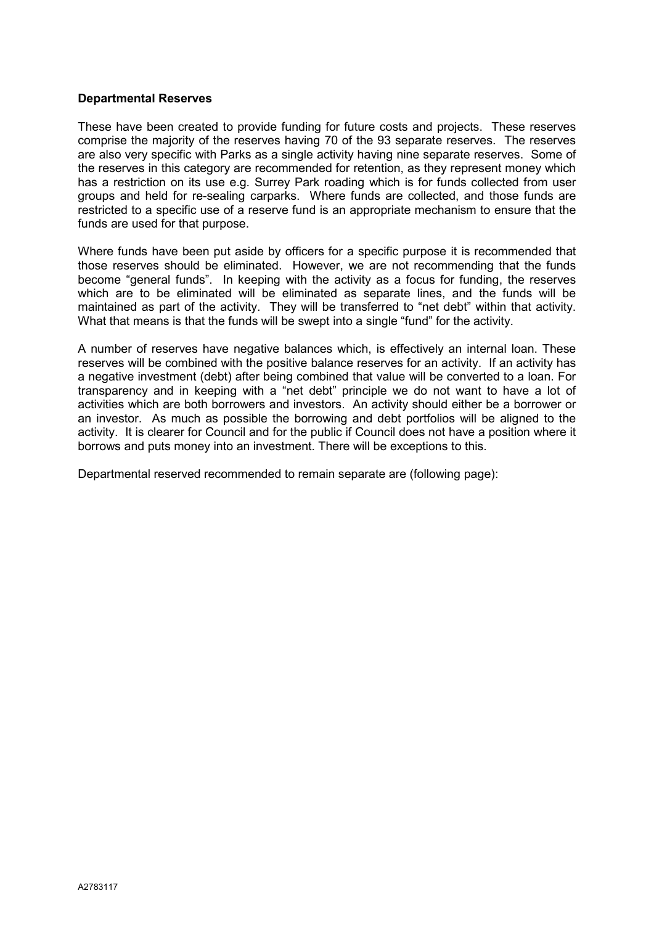#### **Departmental Reserves**

These have been created to provide funding for future costs and projects. These reserves comprise the majority of the reserves having 70 of the 93 separate reserves. The reserves are also very specific with Parks as a single activity having nine separate reserves. Some of the reserves in this category are recommended for retention, as they represent money which has a restriction on its use e.g. Surrey Park roading which is for funds collected from user groups and held for re-sealing carparks. Where funds are collected, and those funds are restricted to a specific use of a reserve fund is an appropriate mechanism to ensure that the funds are used for that purpose.

Where funds have been put aside by officers for a specific purpose it is recommended that those reserves should be eliminated. However, we are not recommending that the funds become "general funds". In keeping with the activity as a focus for funding, the reserves which are to be eliminated will be eliminated as separate lines, and the funds will be maintained as part of the activity. They will be transferred to "net debt" within that activity. What that means is that the funds will be swept into a single "fund" for the activity.

A number of reserves have negative balances which, is effectively an internal loan. These reserves will be combined with the positive balance reserves for an activity. If an activity has a negative investment (debt) after being combined that value will be converted to a loan. For transparency and in keeping with a "net debt" principle we do not want to have a lot of activities which are both borrowers and investors. An activity should either be a borrower or an investor. As much as possible the borrowing and debt portfolios will be aligned to the activity. It is clearer for Council and for the public if Council does not have a position where it borrows and puts money into an investment. There will be exceptions to this.

Departmental reserved recommended to remain separate are (following page):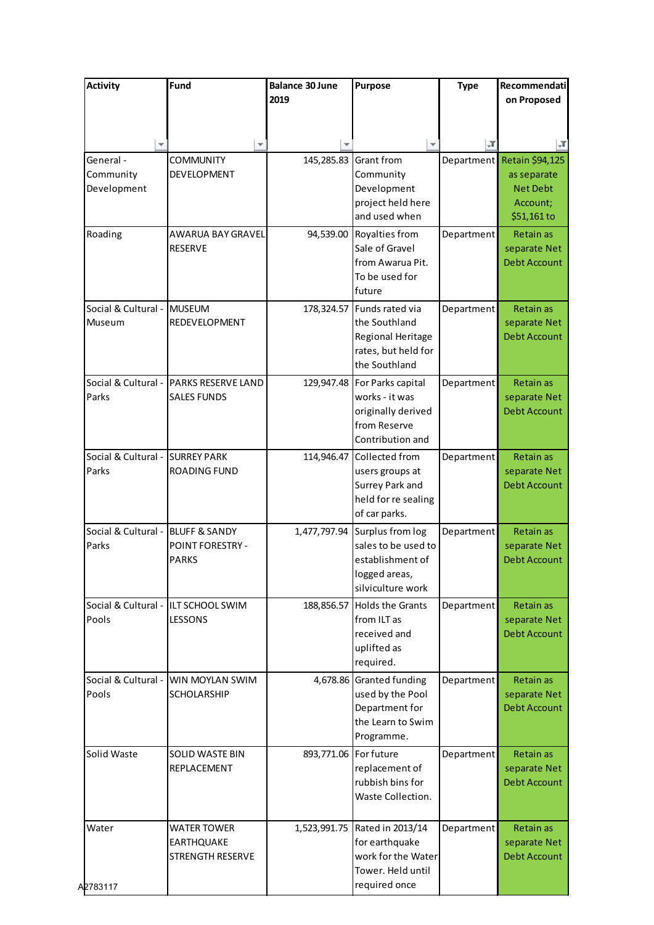| <b>Activity</b>                       | Fund                                                                | <b>Balance 30 June</b>  | <b>Purpose</b>                                                                                           | <b>Type</b> | Recommendati                                                          |
|---------------------------------------|---------------------------------------------------------------------|-------------------------|----------------------------------------------------------------------------------------------------------|-------------|-----------------------------------------------------------------------|
|                                       |                                                                     | 2019                    |                                                                                                          |             | on Proposed                                                           |
|                                       |                                                                     |                         |                                                                                                          |             |                                                                       |
|                                       |                                                                     |                         |                                                                                                          | ĻТ          | л                                                                     |
| General -<br>Community<br>Development | <b>COMMUNITY</b><br>DEVELOPMENT                                     |                         | 145,285.83 Grant from<br>Community<br>Development<br>project held here<br>and used when                  | Department  | Retain \$94,125<br>as separate<br>Net Debt<br>Account;<br>\$51,161 to |
| Roading                               | AWARUA BAY GRAVEL<br>RESERVE                                        | 94,539.00               | Royalties from<br>Sale of Gravel<br>from Awarua Pit.<br>To be used for<br>future                         | Department  | Retain as<br>separate Net<br>Debt Account                             |
| Social & Cultural -<br>Museum         | <b>MUSEUM</b><br>REDEVELOPMENT                                      |                         | 178,324.57 Funds rated via<br>the Southland<br>Regional Heritage<br>rates, but held for<br>the Southland | Department  | Retain as<br>separate Net<br>Debt Account                             |
| Social & Cultural -<br>Parks          | PARKS RESERVE LAND<br><b>SALES FUNDS</b>                            | 129,947.48              | For Parks capital<br>works - it was<br>originally derived<br>from Reserve<br>Contribution and            | Department  | Retain as<br>separate Net<br>Debt Account                             |
| Social & Cultural -<br>Parks          | <b>SURREY PARK</b><br>ROADING FUND                                  | 114,946.47              | Collected from<br>users groups at<br>Surrey Park and<br>held for re sealing<br>of car parks.             | Department  | Retain as<br>separate Net<br>Debt Account                             |
| Social & Cultural -<br>Parks          | <b>BLUFF &amp; SANDY</b><br><b>POINT FORESTRY -</b><br><b>PARKS</b> | 1,477,797.94            | Surplus from log<br>sales to be used to<br>establishment of<br>logged areas,<br>silviculture work        | Department  | Retain as<br>separate Net<br><b>Debt Account</b>                      |
| Pools                                 | Social & Cultural - ILT SCHOOL SWIM<br>LESSONS                      |                         | 188,856.57 Holds the Grants<br>from ILT as<br>received and<br>uplifted as<br>required.                   | Department  | Retain as<br>separate Net<br>Debt Account                             |
| Social & Cultural -<br>Pools          | WIN MOYLAN SWIM<br><b>SCHOLARSHIP</b>                               |                         | 4,678.86 Granted funding<br>used by the Pool<br>Department for<br>the Learn to Swim<br>Programme.        | Department  | Retain as<br>separate Net<br><b>Debt Account</b>                      |
| Solid Waste                           | SOLID WASTE BIN<br>REPLACEMENT                                      | 893,771.06   For future | replacement of<br>rubbish bins for<br>Waste Collection.                                                  | Department  | Retain as<br>separate Net<br>Debt Account                             |
| Water                                 | <b>WATER TOWER</b><br><b>EARTHQUAKE</b><br><b>STRENGTH RESERVE</b>  |                         | 1,523,991.75   Rated in 2013/14<br>for earthquake<br>work for the Water<br>Tower. Held until             | Department  | Retain as<br>separate Net<br>Debt Account                             |
| A2783117                              |                                                                     |                         | required once                                                                                            |             |                                                                       |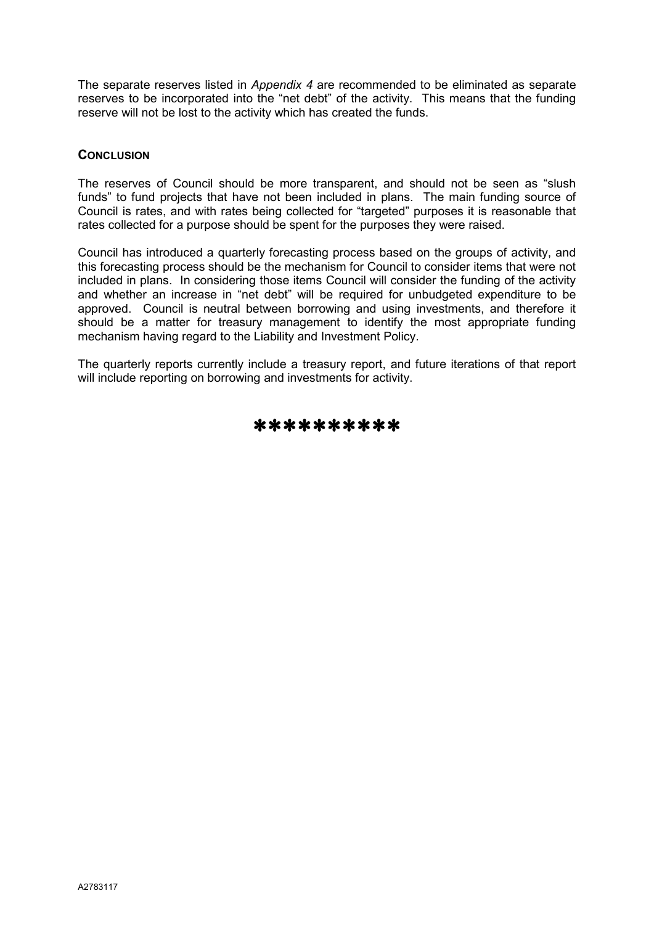The separate reserves listed in *Appendix 4* are recommended to be eliminated as separate reserves to be incorporated into the "net debt" of the activity. This means that the funding reserve will not be lost to the activity which has created the funds.

### **CONCLUSION**

The reserves of Council should be more transparent, and should not be seen as "slush funds" to fund projects that have not been included in plans. The main funding source of Council is rates, and with rates being collected for "targeted" purposes it is reasonable that rates collected for a purpose should be spent for the purposes they were raised.

Council has introduced a quarterly forecasting process based on the groups of activity, and this forecasting process should be the mechanism for Council to consider items that were not included in plans. In considering those items Council will consider the funding of the activity and whether an increase in "net debt" will be required for unbudgeted expenditure to be approved. Council is neutral between borrowing and using investments, and therefore it should be a matter for treasury management to identify the most appropriate funding mechanism having regard to the Liability and Investment Policy.

The quarterly reports currently include a treasury report, and future iterations of that report will include reporting on borrowing and investments for activity.

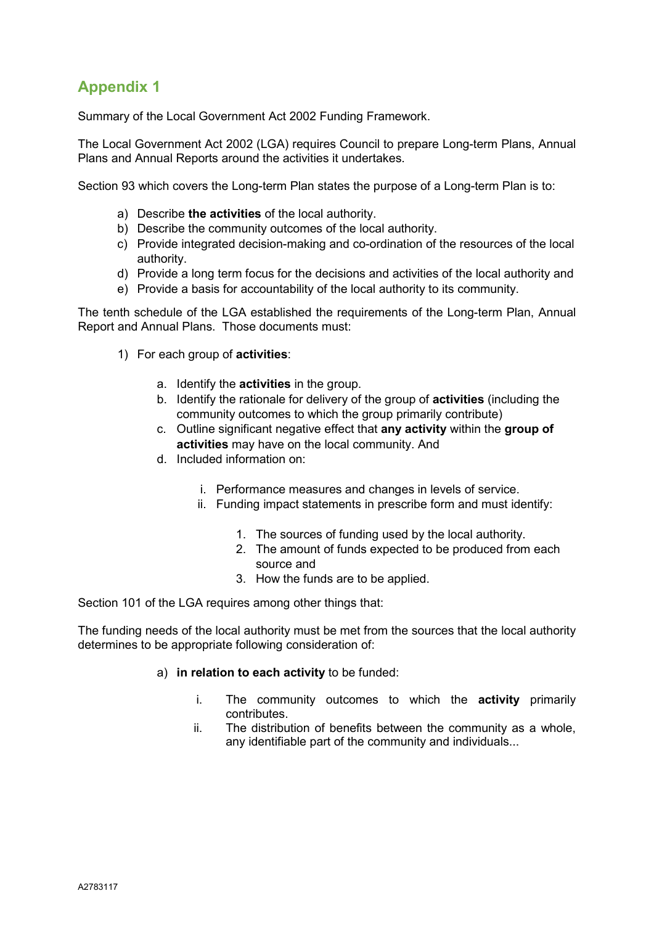Summary of the Local Government Act 2002 Funding Framework.

The Local Government Act 2002 (LGA) requires Council to prepare Long-term Plans, Annual Plans and Annual Reports around the activities it undertakes.

Section 93 which covers the Long-term Plan states the purpose of a Long-term Plan is to:

- a) Describe **the activities** of the local authority.
- b) Describe the community outcomes of the local authority.
- c) Provide integrated decision-making and co-ordination of the resources of the local authority.
- d) Provide a long term focus for the decisions and activities of the local authority and
- e) Provide a basis for accountability of the local authority to its community.

The tenth schedule of the LGA established the requirements of the Long-term Plan, Annual Report and Annual Plans. Those documents must:

- 1) For each group of **activities**:
	- a. Identify the **activities** in the group.
	- b. Identify the rationale for delivery of the group of **activities** (including the community outcomes to which the group primarily contribute)
	- c. Outline significant negative effect that **any activity** within the **group of activities** may have on the local community. And
	- d. Included information on:
		- i. Performance measures and changes in levels of service.
		- ii. Funding impact statements in prescribe form and must identify:
			- 1. The sources of funding used by the local authority.
			- 2. The amount of funds expected to be produced from each source and
			- 3. How the funds are to be applied.

Section 101 of the LGA requires among other things that:

The funding needs of the local authority must be met from the sources that the local authority determines to be appropriate following consideration of:

- a) **in relation to each activity** to be funded:
	- i. The community outcomes to which the **activity** primarily contributes.
	- ii. The distribution of benefits between the community as a whole, any identifiable part of the community and individuals...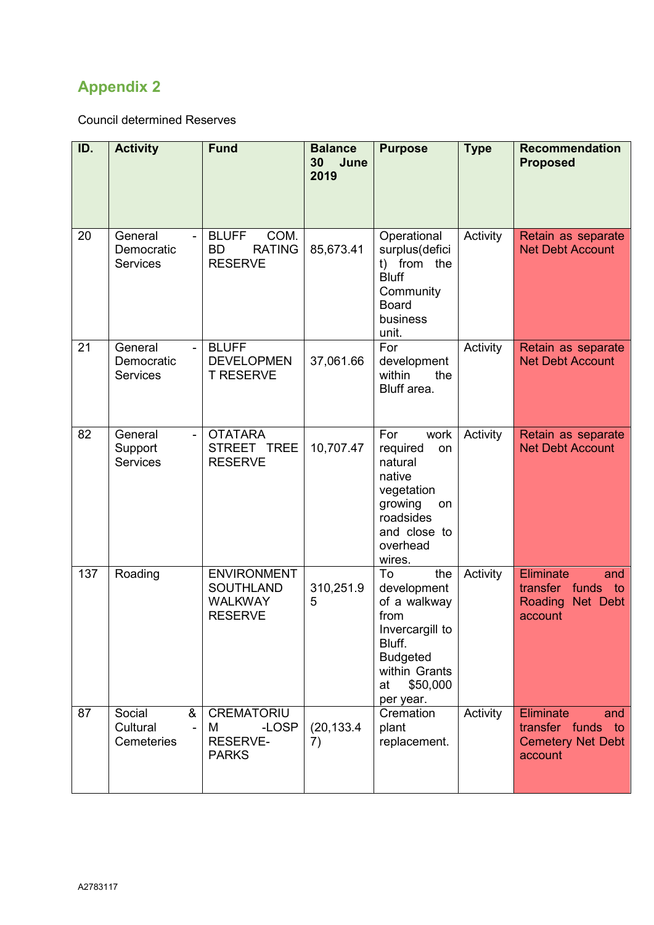Council determined Reserves

| ID. | <b>Activity</b>                                                | <b>Fund</b>                                                                | <b>Balance</b><br>30 <sub>o</sub><br>June<br>2019 | <b>Purpose</b>                                                                                                                                   | <b>Type</b> | <b>Recommendation</b><br><b>Proposed</b>                                      |
|-----|----------------------------------------------------------------|----------------------------------------------------------------------------|---------------------------------------------------|--------------------------------------------------------------------------------------------------------------------------------------------------|-------------|-------------------------------------------------------------------------------|
| 20  | General<br>$\overline{a}$<br>Democratic<br><b>Services</b>     | <b>BLUFF</b><br>COM.<br><b>BD</b><br><b>RATING</b><br><b>RESERVE</b>       | 85,673.41                                         | Operational<br>surplus(defici<br>t) from the<br><b>Bluff</b><br>Community<br><b>Board</b><br>business<br>unit.                                   | Activity    | Retain as separate<br><b>Net Debt Account</b>                                 |
| 21  | General<br>$\overline{a}$<br>Democratic<br><b>Services</b>     | <b>BLUFF</b><br><b>DEVELOPMEN</b><br><b>T RESERVE</b>                      | 37,061.66                                         | For<br>development<br>within<br>the<br>Bluff area.                                                                                               | Activity    | Retain as separate<br><b>Net Debt Account</b>                                 |
| 82  | General<br>$\overline{a}$<br>Support<br><b>Services</b>        | <b>OTATARA</b><br>STREET TREE<br><b>RESERVE</b>                            | 10,707.47                                         | For<br>work<br>required<br>on<br>natural<br>native<br>vegetation<br>growing<br>on<br>roadsides<br>and close to<br>overhead<br>wires.             | Activity    | Retain as separate<br><b>Net Debt Account</b>                                 |
| 137 | Roading                                                        | <b>ENVIRONMENT</b><br><b>SOUTHLAND</b><br><b>WALKWAY</b><br><b>RESERVE</b> | 310,251.9<br>5                                    | To<br>the<br>development<br>of a walkway<br>from<br>Invercargill to<br>Bluff.<br><b>Budgeted</b><br>within Grants<br>\$50,000<br>at<br>per year. | Activity    | Eliminate<br>and<br>funds<br>transfer<br>to<br>Roading<br>Net Debt<br>account |
| 87  | Social<br>&<br>Cultural<br>$\blacksquare$<br><b>Cemeteries</b> | <b>CREMATORIU</b><br>-LOSP<br>M<br><b>RESERVE-</b><br><b>PARKS</b>         | (20, 133.4)<br>7)                                 | Cremation<br>plant<br>replacement.                                                                                                               | Activity    | Eliminate<br>and<br>transfer funds to<br><b>Cemetery Net Debt</b><br>account  |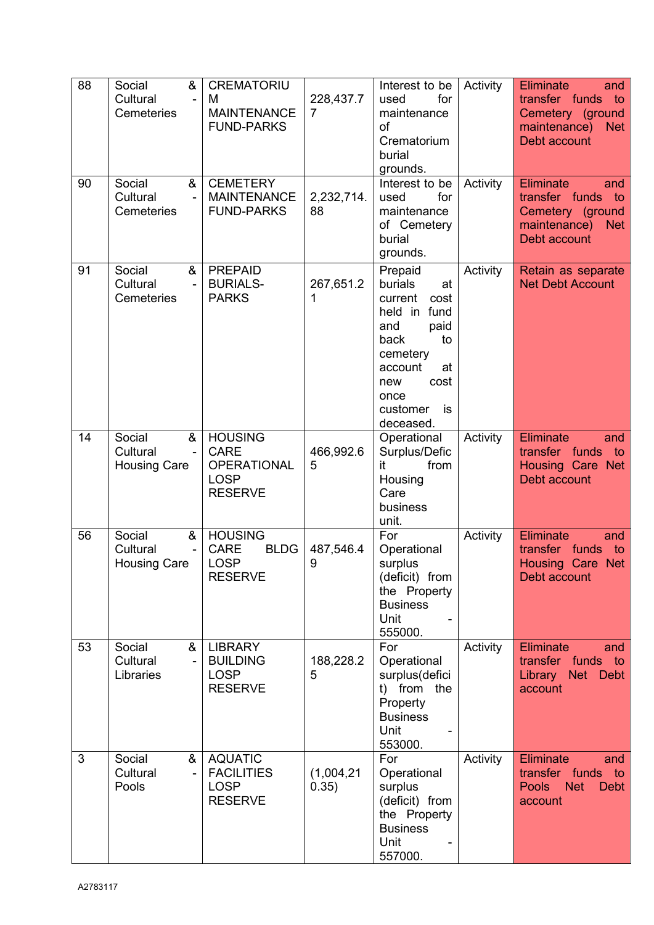| 88 | &<br>Social<br>Cultural<br>$\blacksquare$<br>Cemeteries          | <b>CREMATORIU</b><br>м<br><b>MAINTENANCE</b><br><b>FUND-PARKS</b>                    | 228,437.7<br>$\overline{7}$ | Interest to be<br>for<br>used<br>maintenance<br>of<br>Crematorium<br>burial<br>grounds.                                                                                     | Activity | <b>Eliminate</b><br>and<br>transfer funds to<br>Cemetery (ground<br>maintenance)<br><b>Net</b><br>Debt account |
|----|------------------------------------------------------------------|--------------------------------------------------------------------------------------|-----------------------------|-----------------------------------------------------------------------------------------------------------------------------------------------------------------------------|----------|----------------------------------------------------------------------------------------------------------------|
| 90 | Social<br>&<br>Cultural<br>÷,<br><b>Cemeteries</b>               | <b>CEMETERY</b><br><b>MAINTENANCE</b><br><b>FUND-PARKS</b>                           | 2,232,714.<br>88            | Interest to be<br>for<br>used<br>maintenance<br>of Cemetery<br>burial<br>grounds.                                                                                           | Activity | Eliminate<br>and<br>transfer funds<br>to<br>Cemetery (ground<br>maintenance)<br><b>Net</b><br>Debt account     |
| 91 | Social<br>&<br>Cultural<br>$\blacksquare$<br><b>Cemeteries</b>   | <b>PREPAID</b><br><b>BURIALS-</b><br><b>PARKS</b>                                    | 267,651.2<br>1              | Prepaid<br>burials<br>at<br>current<br>cost<br>held in fund<br>and<br>paid<br>back<br>to<br>cemetery<br>account<br>at<br>cost<br>new<br>once<br>customer<br>is<br>deceased. | Activity | Retain as separate<br><b>Net Debt Account</b>                                                                  |
| 14 | &<br>Social<br>Cultural<br>$\blacksquare$<br><b>Housing Care</b> | <b>HOUSING</b><br><b>CARE</b><br><b>OPERATIONAL</b><br><b>LOSP</b><br><b>RESERVE</b> | 466,992.6<br>5              | Operational<br>Surplus/Defic<br>from<br>it<br>Housing<br>Care<br>business<br>unit.                                                                                          | Activity | <b>Eliminate</b><br>and<br>transfer funds<br>to<br>Housing Care Net<br>Debt account                            |
| 56 | &<br>Social<br>Cultural<br><b>Housing Care</b>                   | <b>HOUSING</b><br><b>BLDG</b><br><b>CARE</b><br><b>LOSP</b><br><b>RESERVE</b>        | 487,546.4<br>9              | For<br>Operational<br>surplus<br>(deficit) from<br>the Property<br><b>Business</b><br>Unit<br>555000.                                                                       | Activity | <b>Eliminate</b><br>and<br>transfer funds<br>to<br>Housing Care Net<br>Debt account                            |
| 53 | Social<br>&<br>Cultural<br>$\blacksquare$<br>Libraries           | <b>LIBRARY</b><br><b>BUILDING</b><br><b>LOSP</b><br><b>RESERVE</b>                   | 188,228.2<br>5              | For<br>Operational<br>surplus(defici<br>t) from the<br>Property<br><b>Business</b><br>Unit<br>553000.                                                                       | Activity | Eliminate<br>and<br>transfer funds to<br>Library<br>Net Debt<br>account                                        |
| 3  | Social<br>&<br>Cultural<br>$\qquad \qquad \blacksquare$<br>Pools | <b>AQUATIC</b><br><b>FACILITIES</b><br><b>LOSP</b><br><b>RESERVE</b>                 | (1,004,21)<br>0.35)         | For<br>Operational<br>surplus<br>(deficit) from<br>the Property<br><b>Business</b><br>Unit<br>557000.                                                                       | Activity | <b>Eliminate</b><br>and<br>transfer funds<br>to<br><b>Pools</b><br><b>Net</b><br>Debt<br>account               |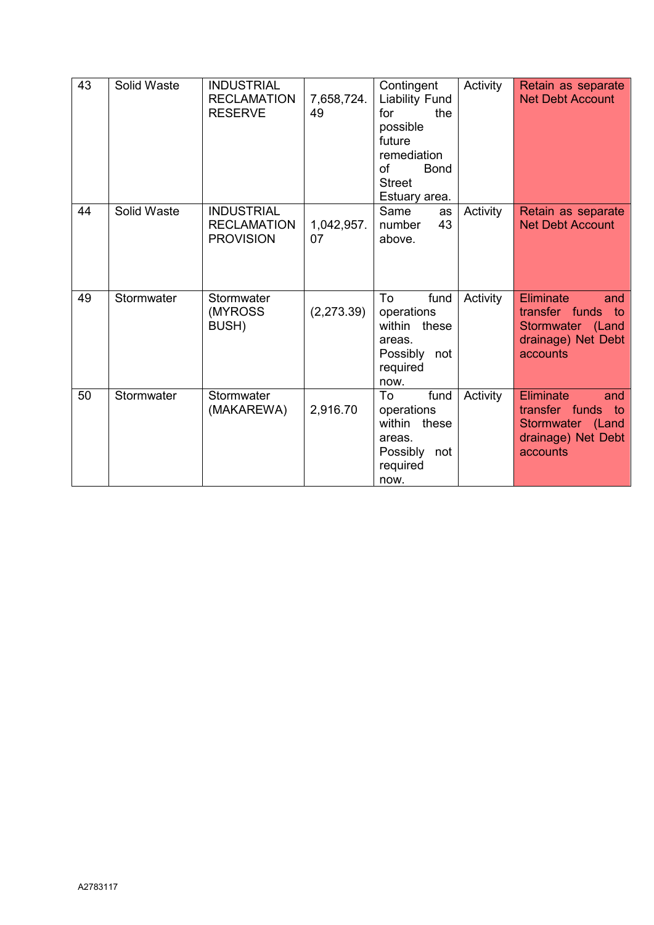| 43 | Solid Waste | <b>INDUSTRIAL</b><br><b>RECLAMATION</b><br><b>RESERVE</b>   | 7,658,724.<br>49 | Contingent<br><b>Liability Fund</b><br>for<br>the<br>possible<br>future<br>remediation<br>of<br><b>Bond</b><br><b>Street</b><br>Estuary area. | Activity | Retain as separate<br><b>Net Debt Account</b>                                               |
|----|-------------|-------------------------------------------------------------|------------------|-----------------------------------------------------------------------------------------------------------------------------------------------|----------|---------------------------------------------------------------------------------------------|
| 44 | Solid Waste | <b>INDUSTRIAL</b><br><b>RECLAMATION</b><br><b>PROVISION</b> | 1,042,957.<br>07 | Same<br>as<br>43<br>number<br>above.                                                                                                          | Activity | Retain as separate<br><b>Net Debt Account</b>                                               |
| 49 | Stormwater  | Stormwater<br>(MYROSS<br>BUSH)                              | (2,273.39)       | To<br>fund<br>operations<br>within these<br>areas.<br>Possibly not<br>required<br>now.                                                        | Activity | Eliminate<br>and<br>transfer funds to<br>Stormwater (Land<br>drainage) Net Debt<br>accounts |
| 50 | Stormwater  | Stormwater<br>(MAKAREWA)                                    | 2,916.70         | To<br>fund<br>operations<br>within these<br>areas.<br>Possibly<br>not<br>required<br>now.                                                     | Activity | Eliminate<br>and<br>transfer funds to<br>Stormwater (Land<br>drainage) Net Debt<br>accounts |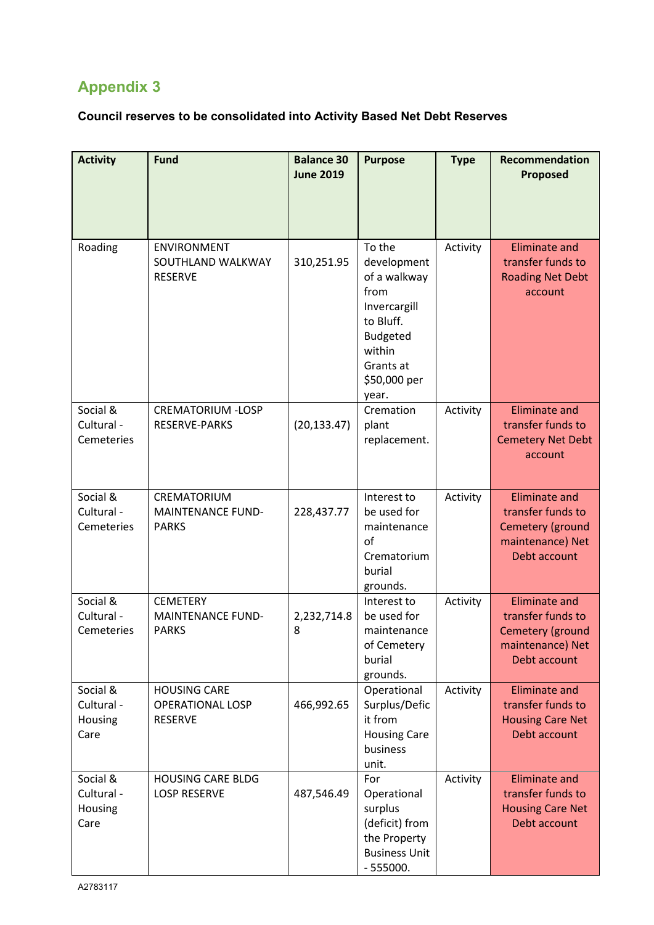# **Council reserves to be consolidated into Activity Based Net Debt Reserves**

| <b>Activity</b>                           | <b>Fund</b>                                                      | <b>Balance 30</b><br><b>June 2019</b> | <b>Purpose</b>                                                                                                                                | <b>Type</b> | Recommendation<br><b>Proposed</b>                                                                 |
|-------------------------------------------|------------------------------------------------------------------|---------------------------------------|-----------------------------------------------------------------------------------------------------------------------------------------------|-------------|---------------------------------------------------------------------------------------------------|
| Roading                                   | ENVIRONMENT<br>SOUTHLAND WALKWAY<br><b>RESERVE</b>               | 310,251.95                            | To the<br>development<br>of a walkway<br>from<br>Invercargill<br>to Bluff.<br><b>Budgeted</b><br>within<br>Grants at<br>\$50,000 per<br>year. | Activity    | <b>Eliminate and</b><br>transfer funds to<br><b>Roading Net Debt</b><br>account                   |
| Social &<br>Cultural -<br>Cemeteries      | <b>CREMATORIUM -LOSP</b><br><b>RESERVE-PARKS</b>                 | (20, 133.47)                          | Cremation<br>plant<br>replacement.                                                                                                            | Activity    | <b>Eliminate and</b><br>transfer funds to<br><b>Cemetery Net Debt</b><br>account                  |
| Social &<br>Cultural -<br>Cemeteries      | CREMATORIUM<br><b>MAINTENANCE FUND-</b><br><b>PARKS</b>          | 228,437.77                            | Interest to<br>be used for<br>maintenance<br>of<br>Crematorium<br>burial<br>grounds.                                                          | Activity    | <b>Eliminate and</b><br>transfer funds to<br>Cemetery (ground<br>maintenance) Net<br>Debt account |
| Social &<br>Cultural -<br>Cemeteries      | <b>CEMETERY</b><br><b>MAINTENANCE FUND-</b><br><b>PARKS</b>      | 2,232,714.8<br>8                      | Interest to<br>be used for<br>maintenance<br>of Cemetery<br>burial<br>grounds.                                                                | Activity    | <b>Eliminate and</b><br>transfer funds to<br>Cemetery (ground<br>maintenance) Net<br>Debt account |
| Social &<br>Cultural -<br>Housing<br>Care | <b>HOUSING CARE</b><br><b>OPERATIONAL LOSP</b><br><b>RESERVE</b> | 466,992.65                            | Operational<br>Surplus/Defic<br>it from<br><b>Housing Care</b><br>business<br>unit.                                                           | Activity    | <b>Eliminate and</b><br>transfer funds to<br><b>Housing Care Net</b><br>Debt account              |
| Social &<br>Cultural -<br>Housing<br>Care | <b>HOUSING CARE BLDG</b><br><b>LOSP RESERVE</b>                  | 487,546.49                            | For<br>Operational<br>surplus<br>(deficit) from<br>the Property<br><b>Business Unit</b><br>$-555000.$                                         | Activity    | <b>Eliminate and</b><br>transfer funds to<br><b>Housing Care Net</b><br>Debt account              |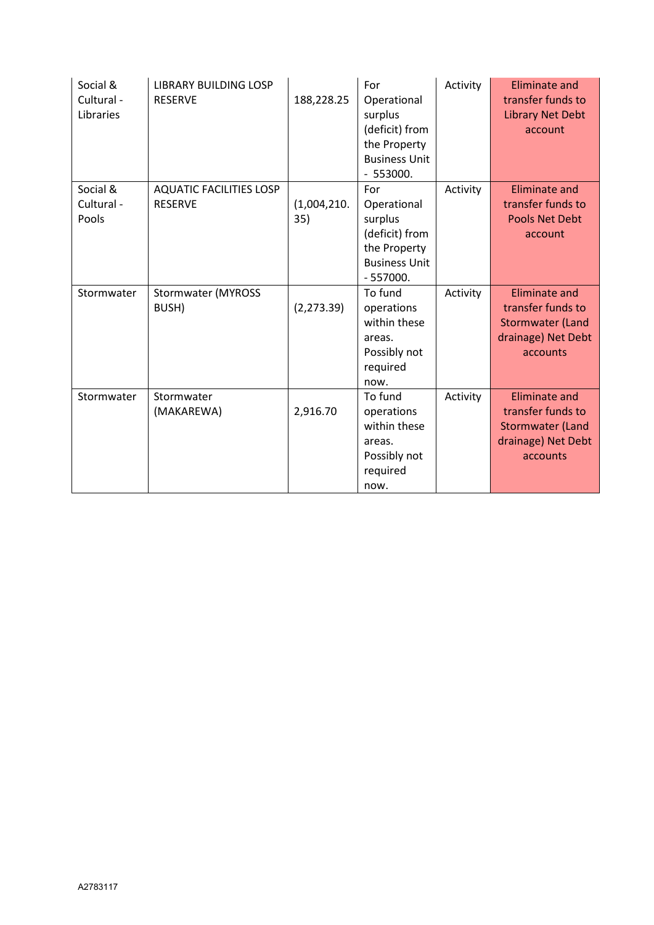| Social &<br>Cultural -<br>Libraries | <b>LIBRARY BUILDING LOSP</b><br><b>RESERVE</b>   | 188,228.25         | For<br>Operational<br>surplus<br>(deficit) from<br>the Property<br><b>Business Unit</b><br>$-553000.$ | Activity | <b>Eliminate and</b><br>transfer funds to<br><b>Library Net Debt</b><br>account                        |
|-------------------------------------|--------------------------------------------------|--------------------|-------------------------------------------------------------------------------------------------------|----------|--------------------------------------------------------------------------------------------------------|
| Social &<br>Cultural -<br>Pools     | <b>AQUATIC FACILITIES LOSP</b><br><b>RESERVE</b> | (1,004,210.<br>35) | For<br>Operational<br>surplus<br>(deficit) from<br>the Property<br><b>Business Unit</b><br>$-557000.$ | Activity | <b>Eliminate and</b><br>transfer funds to<br><b>Pools Net Debt</b><br>account                          |
| Stormwater                          | <b>Stormwater (MYROSS</b><br>BUSH)               | (2, 273.39)        | To fund<br>operations<br>within these<br>areas.<br>Possibly not<br>required<br>now.                   | Activity | <b>Eliminate and</b><br>transfer funds to<br><b>Stormwater (Land</b><br>drainage) Net Debt<br>accounts |
| Stormwater                          | Stormwater<br>(MAKAREWA)                         | 2,916.70           | To fund<br>operations<br>within these<br>areas.<br>Possibly not<br>required<br>now.                   | Activity | <b>Eliminate and</b><br>transfer funds to<br><b>Stormwater (Land</b><br>drainage) Net Debt<br>accounts |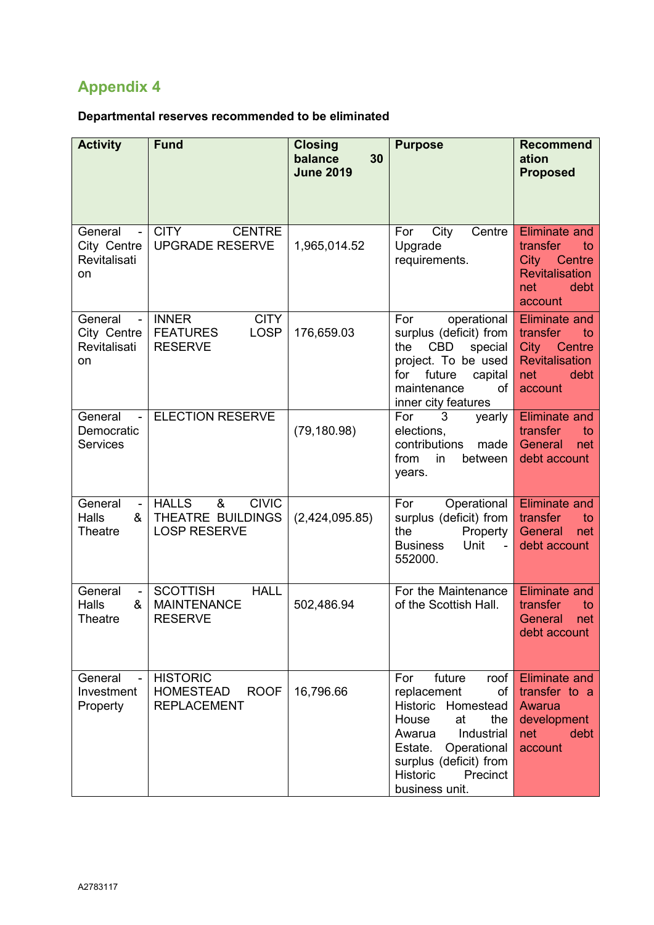# **Departmental reserves recommended to be eliminated**

| <b>Activity</b>                                                | <b>Fund</b>                                                                     | <b>Closing</b><br>30<br>balance<br><b>June 2019</b> | <b>Purpose</b>                                                                                                                                                                                               | <b>Recommend</b><br>ation<br><b>Proposed</b>                                                                       |
|----------------------------------------------------------------|---------------------------------------------------------------------------------|-----------------------------------------------------|--------------------------------------------------------------------------------------------------------------------------------------------------------------------------------------------------------------|--------------------------------------------------------------------------------------------------------------------|
|                                                                |                                                                                 |                                                     |                                                                                                                                                                                                              |                                                                                                                    |
| General<br>City Centre<br>Revitalisati<br>on                   | <b>CITY</b><br><b>CENTRE</b><br><b>UPGRADE RESERVE</b>                          | 1,965,014.52                                        | City<br>Centre<br>For<br>Upgrade<br>requirements.                                                                                                                                                            | <b>Eliminate and</b><br>transfer<br>to<br>Centre<br>City<br><b>Revitalisation</b><br>debt<br>net<br>account        |
| General<br>$\blacksquare$<br>City Centre<br>Revitalisati<br>on | <b>INNER</b><br><b>CITY</b><br><b>FEATURES</b><br><b>LOSP</b><br><b>RESERVE</b> | 176,659.03                                          | For<br>operational<br>surplus (deficit) from<br><b>CBD</b><br>the<br>special<br>project. To be used<br>future<br>for<br>capital<br>maintenance<br>οf<br>inner city features                                  | <b>Eliminate and</b><br>transfer<br>to<br><b>City</b><br>Centre<br><b>Revitalisation</b><br>debt<br>net<br>account |
| General<br>Democratic<br><b>Services</b>                       | <b>ELECTION RESERVE</b>                                                         | (79, 180.98)                                        | For<br>3<br>yearly<br>elections,<br>contributions<br>made<br>from<br>in<br>between<br>years.                                                                                                                 | <b>Eliminate and</b><br>transfer<br>to<br>General<br>net<br>debt account                                           |
| General<br>$\blacksquare$<br>&<br>Halls<br>Theatre             | <b>HALLS</b><br><b>CIVIC</b><br>&<br>THEATRE BUILDINGS<br><b>LOSP RESERVE</b>   | (2,424,095.85)                                      | For<br>Operational<br>surplus (deficit) from<br>Property<br>the<br><b>Business</b><br>Unit<br>552000.                                                                                                        | <b>Eliminate and</b><br>transfer<br>to<br>General<br>net<br>debt account                                           |
| General<br>$\blacksquare$<br>Halls<br>&<br>Theatre             | <b>SCOTTISH</b><br><b>HALL</b><br><b>MAINTENANCE</b><br><b>RESERVE</b>          | 502,486.94                                          | For the Maintenance<br>of the Scottish Hall.                                                                                                                                                                 | <b>Eliminate and</b><br>transfer<br>to<br>General<br>net<br>debt account                                           |
| General<br>$\overline{a}$<br>Investment<br>Property            | <b>HISTORIC</b><br><b>HOMESTEAD</b><br><b>ROOF</b><br><b>REPLACEMENT</b>        | 16,796.66                                           | future<br>For<br>roof<br>replacement<br>of<br>Historic Homestead<br>House<br>at<br>the<br>Industrial<br>Awarua<br>Estate.<br>Operational<br>surplus (deficit) from<br>Historic<br>Precinct<br>business unit. | <b>Eliminate and</b><br>transfer to a<br>Awarua<br>development<br>debt<br>net<br>account                           |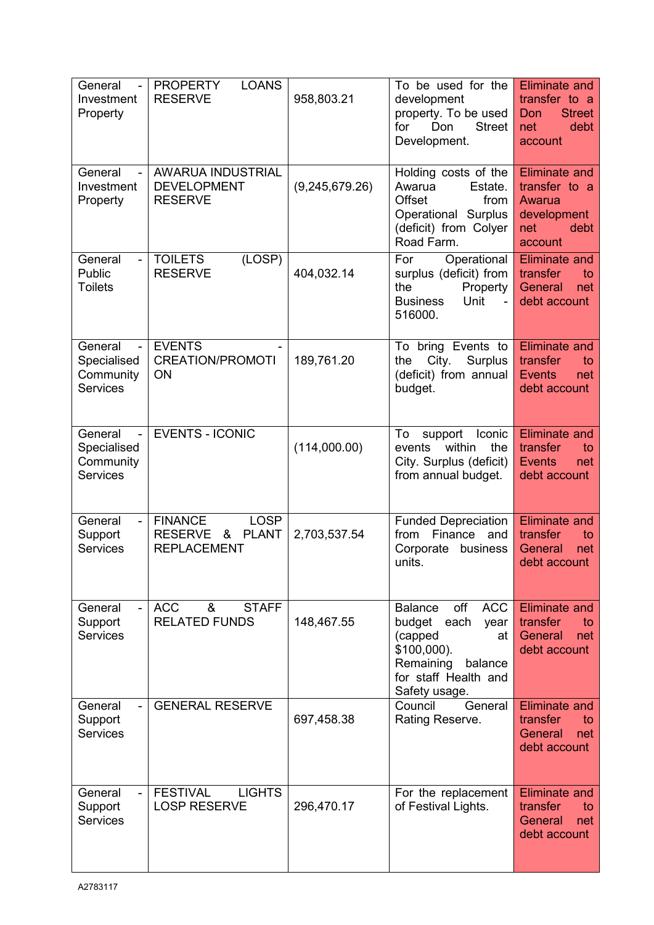| General<br>Investment<br>Property                                 | <b>LOANS</b><br><b>PROPERTY</b><br><b>RESERVE</b>                                          | 958,803.21     | To be used for the<br>development<br>property. To be used<br><b>Street</b><br>for<br>Don<br>Development.                                                       | <b>Eliminate and</b><br>transfer to a<br><b>Street</b><br>Don<br>debt<br>net<br>account |
|-------------------------------------------------------------------|--------------------------------------------------------------------------------------------|----------------|----------------------------------------------------------------------------------------------------------------------------------------------------------------|-----------------------------------------------------------------------------------------|
| General<br>Investment<br>Property                                 | <b>AWARUA INDUSTRIAL</b><br><b>DEVELOPMENT</b><br><b>RESERVE</b>                           | (9,245,679.26) | Holding costs of the<br>Awarua<br>Estate.<br>Offset<br>from<br>Operational Surplus<br>(deficit) from Colyer<br>Road Farm.                                      | Eliminate and<br>transfer to a<br>Awarua<br>development<br>net<br>debt<br>account       |
| General<br>Public<br><b>Toilets</b>                               | (LOSP)<br><b>TOILETS</b><br><b>RESERVE</b>                                                 | 404,032.14     | Operational<br>For<br>surplus (deficit) from<br>Property<br>the<br>Unit<br><b>Business</b><br>516000.                                                          | <b>Eliminate and</b><br>transfer<br>to<br>General<br>net<br>debt account                |
| General<br>Specialised<br>Community<br><b>Services</b>            | <b>EVENTS</b><br><b>CREATION/PROMOTI</b><br>ON                                             | 189,761.20     | To bring Events to<br>City.<br>Surplus<br>the<br>(deficit) from annual<br>budget.                                                                              | <b>Eliminate and</b><br>transfer<br>to<br><b>Events</b><br>net<br>debt account          |
| General<br>Specialised<br>Community<br><b>Services</b>            | <b>EVENTS - ICONIC</b>                                                                     | (114,000.00)   | To<br>support<br>Iconic<br>within<br>the<br>events<br>City. Surplus (deficit)<br>from annual budget.                                                           | <b>Eliminate and</b><br>transfer<br>to<br><b>Events</b><br>net<br>debt account          |
| General<br>Support<br><b>Services</b>                             | <b>FINANCE</b><br><b>LOSP</b><br><b>PLANT</b><br><b>RESERVE</b><br>&<br><b>REPLACEMENT</b> | 2,703,537.54   | <b>Funded Depreciation</b><br>from<br>Finance<br>and<br>Corporate<br>business<br>units.                                                                        | <b>Eliminate and</b><br>transfer<br>to<br>General<br>net<br>debt account                |
| General<br>$\overline{\phantom{0}}$<br>Support<br><b>Services</b> | <b>ACC</b><br>&<br><b>STAFF</b><br><b>RELATED FUNDS</b>                                    | 148,467.55     | <b>Balance</b><br>off<br><b>ACC</b><br>budget<br>each<br>year<br>(capped<br>at<br>\$100,000).<br>Remaining<br>balance<br>for staff Health and<br>Safety usage. | <b>Eliminate and</b><br>transfer<br>to<br>General<br>net<br>debt account                |
| General<br>Support<br><b>Services</b>                             | <b>GENERAL RESERVE</b>                                                                     | 697,458.38     | Council<br>General<br>Rating Reserve.                                                                                                                          | <b>Eliminate</b> and<br>transfer<br>to<br>General<br>net<br>debt account                |
| General<br>Support<br><b>Services</b>                             | <b>FESTIVAL</b><br><b>LIGHTS</b><br><b>LOSP RESERVE</b>                                    | 296,470.17     | For the replacement<br>of Festival Lights.                                                                                                                     | <b>Eliminate and</b><br>transfer<br>to<br>General<br>net<br>debt account                |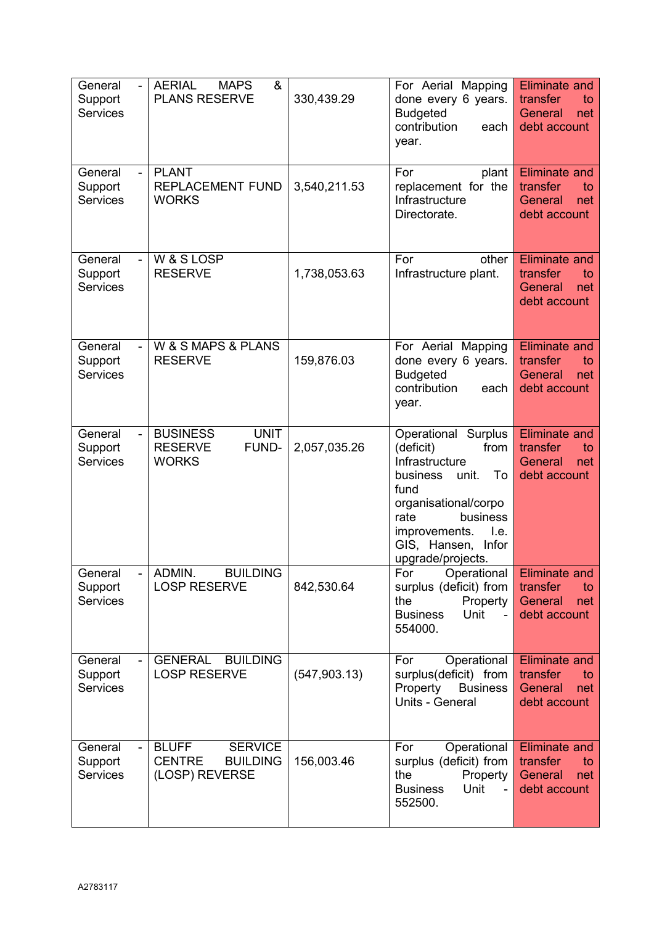| General<br>Support<br><b>Services</b>                   | &<br><b>AERIAL</b><br><b>MAPS</b><br><b>PLANS RESERVE</b>                            | 330,439.29    | For Aerial Mapping<br>done every 6 years.<br><b>Budgeted</b><br>contribution<br>each<br>year.                                                                                                                           | <b>Eliminate and</b><br>transfer<br>to<br>General<br>net<br>debt account |
|---------------------------------------------------------|--------------------------------------------------------------------------------------|---------------|-------------------------------------------------------------------------------------------------------------------------------------------------------------------------------------------------------------------------|--------------------------------------------------------------------------|
| General<br>$\blacksquare$<br>Support<br><b>Services</b> | <b>PLANT</b><br>REPLACEMENT FUND<br><b>WORKS</b>                                     | 3,540,211.53  | For<br>plant<br>replacement for the<br>Infrastructure<br>Directorate.                                                                                                                                                   | <b>Eliminate and</b><br>transfer<br>to<br>General<br>net<br>debt account |
| General<br>Support<br><b>Services</b>                   | W & S LOSP<br><b>RESERVE</b>                                                         | 1,738,053.63  | For<br>other<br>Infrastructure plant.                                                                                                                                                                                   | <b>Eliminate and</b><br>transfer<br>to<br>General<br>net<br>debt account |
| General<br>Support<br><b>Services</b>                   | W & S MAPS & PLANS<br><b>RESERVE</b>                                                 | 159,876.03    | For Aerial Mapping<br>done every 6 years.<br><b>Budgeted</b><br>contribution<br>each<br>year.                                                                                                                           | <b>Eliminate and</b><br>transfer<br>to<br>General<br>net<br>debt account |
| General<br>$\blacksquare$<br>Support<br><b>Services</b> | <b>UNIT</b><br><b>BUSINESS</b><br><b>RESERVE</b><br>FUND-<br><b>WORKS</b>            | 2,057,035.26  | <b>Operational Surplus</b><br>(deficit)<br>from<br>Infrastructure<br>To<br>unit.<br>business<br>fund<br>organisational/corpo<br>business<br>rate<br>improvements.<br>l.e.<br>Infor<br>GIS, Hansen,<br>upgrade/projects. | <b>Eliminate and</b><br>transfer<br>to<br>General<br>net<br>debt account |
| General<br>Support<br><b>Services</b>                   | <b>BUILDING</b><br>ADMIN.<br><b>LOSP RESERVE</b>                                     | 842,530.64    | For<br>Operational<br>surplus (deficit) from<br>Property<br>the<br><b>Business</b><br>Unit<br>554000.                                                                                                                   | Eliminate and<br>transfer<br>to<br>General<br>net<br>debt account        |
| General<br>Support<br><b>Services</b>                   | <b>GENERAL</b><br><b>BUILDING</b><br><b>LOSP RESERVE</b>                             | (547, 903.13) | Operational<br>For<br>surplus(deficit) from<br>Property<br><b>Business</b><br>Units - General                                                                                                                           | <b>Eliminate and</b><br>transfer<br>to<br>General<br>net<br>debt account |
| General<br>Support<br><b>Services</b>                   | <b>BLUFF</b><br><b>SERVICE</b><br><b>CENTRE</b><br><b>BUILDING</b><br>(LOSP) REVERSE | 156,003.46    | For<br>Operational<br>surplus (deficit) from<br>the<br>Property<br>Unit<br><b>Business</b><br>552500.                                                                                                                   | <b>Eliminate and</b><br>transfer<br>to<br>General<br>net<br>debt account |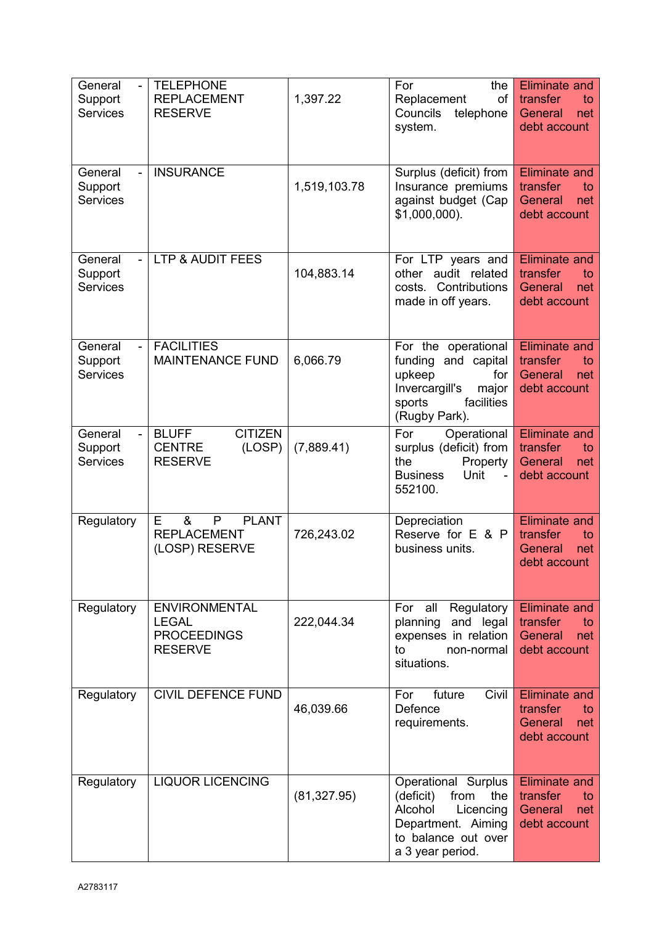| General<br>Support<br><b>Services</b>                   | <b>TELEPHONE</b><br><b>REPLACEMENT</b><br><b>RESERVE</b>                     | 1,397.22     | For<br>the<br>Replacement<br>of<br>Councils<br>telephone<br>system.                                                                      | <b>Eliminate and</b><br>transfer<br>to<br>General<br>net<br>debt account |
|---------------------------------------------------------|------------------------------------------------------------------------------|--------------|------------------------------------------------------------------------------------------------------------------------------------------|--------------------------------------------------------------------------|
| General<br>Support<br><b>Services</b>                   | <b>INSURANCE</b>                                                             | 1,519,103.78 | Surplus (deficit) from<br>Insurance premiums<br>against budget (Cap<br>$$1,000,000$ ).                                                   | <b>Eliminate and</b><br>transfer<br>to<br>General<br>net<br>debt account |
| General<br>Support<br><b>Services</b>                   | <b>LTP &amp; AUDIT FEES</b>                                                  | 104,883.14   | For LTP years and<br>other audit related<br>costs. Contributions<br>made in off years.                                                   | <b>Eliminate and</b><br>transfer<br>to<br>General<br>net<br>debt account |
| General<br>Support<br><b>Services</b>                   | <b>FACILITIES</b><br><b>MAINTENANCE FUND</b>                                 | 6,066.79     | For the operational<br>funding and capital<br>upkeep<br>for<br>Invercargill's<br>major<br>sports<br>facilities<br>(Rugby Park).          | <b>Eliminate and</b><br>transfer<br>to<br>General<br>net<br>debt account |
| General<br>$\blacksquare$<br>Support<br><b>Services</b> | <b>BLUFF</b><br><b>CITIZEN</b><br><b>CENTRE</b><br>(LOSP)<br><b>RESERVE</b>  | (7,889.41)   | For<br>Operational<br>surplus (deficit) from<br>Property<br>the<br>Unit<br><b>Business</b><br>$\blacksquare$<br>552100.                  | <b>Eliminate and</b><br>transfer<br>to<br>General<br>net<br>debt account |
| Regulatory                                              | <b>PLANT</b><br>&<br>P<br>Е<br><b>REPLACEMENT</b><br>(LOSP) RESERVE          | 726,243.02   | Depreciation<br>Reserve for E & P<br>business units.                                                                                     | <b>Eliminate and</b><br>transfer<br>to<br>General<br>net<br>debt account |
| Regulatory                                              | <b>ENVIRONMENTAL</b><br><b>LEGAL</b><br><b>PROCEEDINGS</b><br><b>RESERVE</b> | 222,044.34   | Regulatory<br>For all<br>planning and legal<br>expenses in relation<br>to<br>non-normal<br>situations.                                   | <b>Eliminate and</b><br>transfer<br>to<br>General<br>net<br>debt account |
| Regulatory                                              | <b>CIVIL DEFENCE FUND</b>                                                    | 46,039.66    | Civil<br>future<br>For<br>Defence<br>requirements.                                                                                       | <b>Eliminate and</b><br>transfer<br>to<br>General<br>net<br>debt account |
| Regulatory                                              | <b>LIQUOR LICENCING</b>                                                      | (81, 327.95) | Operational Surplus<br>from<br>(deficit)<br>the<br>Alcohol<br>Licencing<br>Department. Aiming<br>to balance out over<br>a 3 year period. | <b>Eliminate and</b><br>transfer<br>to<br>General<br>net<br>debt account |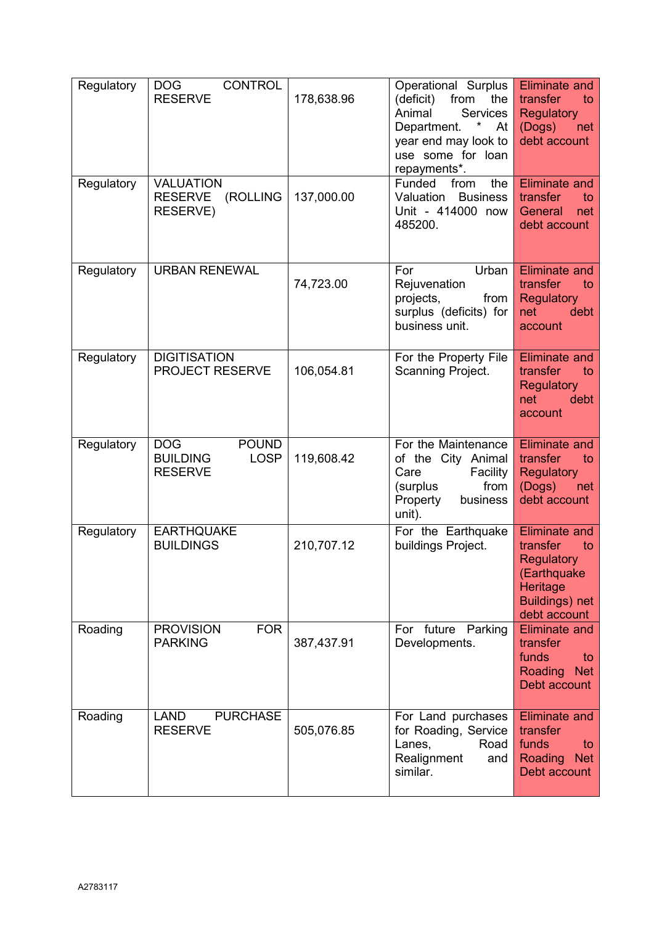| Regulatory | <b>DOG</b><br><b>CONTROL</b><br><b>RESERVE</b>                                 | 178,638.96 | Operational Surplus<br>from<br>(deficit)<br>the<br>Animal<br><b>Services</b><br>$\star$<br>Department.<br>At<br>year end may look to<br>use some for loan<br>repayments*. | <b>Eliminate and</b><br>transfer<br>to<br>Regulatory<br>(Dogs)<br>net<br>debt account                                    |
|------------|--------------------------------------------------------------------------------|------------|---------------------------------------------------------------------------------------------------------------------------------------------------------------------------|--------------------------------------------------------------------------------------------------------------------------|
| Regulatory | <b>VALUATION</b><br><b>RESERVE</b><br>(ROLLING<br>RESERVE)                     | 137,000.00 | Funded<br>the<br>from<br>Valuation<br><b>Business</b><br>Unit - 414000 now<br>485200.                                                                                     | <b>Eliminate and</b><br>transfer<br>to<br>General<br>net<br>debt account                                                 |
| Regulatory | <b>URBAN RENEWAL</b>                                                           | 74,723.00  | For<br>Urban<br>Rejuvenation<br>projects,<br>from<br>surplus (deficits) for<br>business unit.                                                                             | <b>Eliminate and</b><br>transfer<br>to<br><b>Regulatory</b><br><b>net</b><br>debt<br>account                             |
| Regulatory | <b>DIGITISATION</b><br><b>PROJECT RESERVE</b>                                  | 106,054.81 | For the Property File<br>Scanning Project.                                                                                                                                | <b>Eliminate and</b><br>transfer<br>to<br><b>Regulatory</b><br>debt<br>net<br>account                                    |
| Regulatory | <b>DOG</b><br><b>POUND</b><br><b>BUILDING</b><br><b>LOSP</b><br><b>RESERVE</b> | 119,608.42 | For the Maintenance<br>of the City Animal<br>Care<br>Facility<br>from<br>(surplus<br>Property<br>business<br>unit).                                                       | <b>Eliminate and</b><br>transfer<br>to<br><b>Regulatory</b><br>(Dogs)<br>net<br>debt account                             |
| Regulatory | <b>EARTHQUAKE</b><br><b>BUILDINGS</b>                                          | 210,707.12 | For the Earthquake<br>buildings Project.                                                                                                                                  | <b>Eliminate and</b><br>transfer<br>to<br>Regulatory<br>(Earthquake<br>Heritage<br><b>Buildings)</b> net<br>debt account |
| Roading    | <b>FOR</b><br><b>PROVISION</b><br><b>PARKING</b>                               | 387,437.91 | For future<br>Parking<br>Developments.                                                                                                                                    | <b>Eliminate and</b><br>transfer<br>funds<br>to<br>Roading<br><b>Net</b><br>Debt account                                 |
| Roading    | <b>PURCHASE</b><br><b>LAND</b><br><b>RESERVE</b>                               | 505,076.85 | For Land purchases<br>for Roading, Service<br>Lanes,<br>Road<br>Realignment<br>and<br>similar.                                                                            | <b>Eliminate and</b><br>transfer<br>funds<br>to<br>Roading<br><b>Net</b><br>Debt account                                 |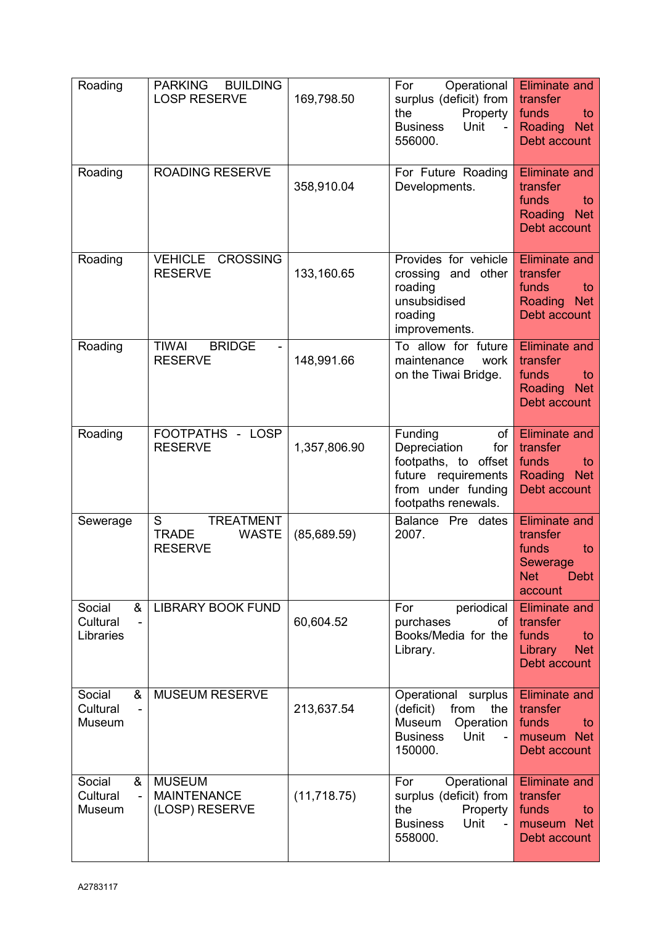| Roading                              | <b>PARKING</b><br><b>BUILDING</b><br><b>LOSP RESERVE</b>                | 169,798.50   | For<br>Operational<br>surplus (deficit) from<br>Property  <br>the<br>Unit<br><b>Business</b><br>$\sim$<br>556000.                | <b>Eliminate and</b><br>transfer<br>funds<br>to<br>Roading<br><b>Net</b><br>Debt account            |
|--------------------------------------|-------------------------------------------------------------------------|--------------|----------------------------------------------------------------------------------------------------------------------------------|-----------------------------------------------------------------------------------------------------|
| Roading                              | <b>ROADING RESERVE</b>                                                  | 358,910.04   | For Future Roading<br>Developments.                                                                                              | <b>Eliminate and</b><br>transfer<br>funds<br>to<br><b>Net</b><br>Roading<br>Debt account            |
| Roading                              | <b>CROSSING</b><br><b>VEHICLE</b><br><b>RESERVE</b>                     | 133,160.65   | Provides for vehicle<br>crossing and other<br>roading<br>unsubsidised<br>roading<br>improvements.                                | <b>Eliminate and</b><br>transfer<br>funds<br>to<br>Roading<br><b>Net</b><br>Debt account            |
| Roading                              | <b>BRIDGE</b><br><b>TIWAI</b><br><b>RESERVE</b>                         | 148,991.66   | To allow for future<br>maintenance<br>work<br>on the Tiwai Bridge.                                                               | <b>Eliminate and</b><br>transfer<br>funds<br>to<br>Roading<br><b>Net</b><br>Debt account            |
| Roading                              | FOOTPATHS - LOSP<br><b>RESERVE</b>                                      | 1,357,806.90 | Funding<br>of<br>Depreciation<br>for<br>footpaths, to offset<br>future requirements<br>from under funding<br>footpaths renewals. | <b>Eliminate and</b><br>transfer<br>funds<br>to<br>Roading<br><b>Net</b><br>Debt account            |
| Sewerage                             | S<br><b>TREATMENT</b><br><b>TRADE</b><br><b>WASTE</b><br><b>RESERVE</b> | (85,689.59)  | Balance Pre dates<br>2007.                                                                                                       | <b>Eliminate and</b><br>transfer<br>funds<br>to<br>Sewerage<br><b>Debt</b><br><b>Net</b><br>account |
| Social<br>&<br>Cultural<br>Libraries | <b>LIBRARY BOOK FUND</b>                                                | 60,604.52    | periodical<br>For<br>purchases<br>of <sub>l</sub><br>Books/Media for the<br>Library.                                             | <b>Eliminate and</b><br>transfer<br>funds<br>to<br><b>Net</b><br>Library<br>Debt account            |
| &<br>Social<br>Cultural<br>Museum    | <b>MUSEUM RESERVE</b>                                                   | 213,637.54   | Operational<br>surplus<br>(deficit)<br>from<br>the<br>Museum<br>Operation<br>Unit<br><b>Business</b><br>150000.                  | <b>Eliminate and</b><br>transfer<br>funds<br>to<br>museum Net<br>Debt account                       |
| Social<br>&<br>Cultural<br>Museum    | <b>MUSEUM</b><br><b>MAINTENANCE</b><br>(LOSP) RESERVE                   | (11, 718.75) | Operational<br>For<br>surplus (deficit) from<br>Property<br>the<br><b>Business</b><br>Unit<br>558000.                            | <b>Eliminate and</b><br>transfer<br>funds<br>to<br>museum Net<br>Debt account                       |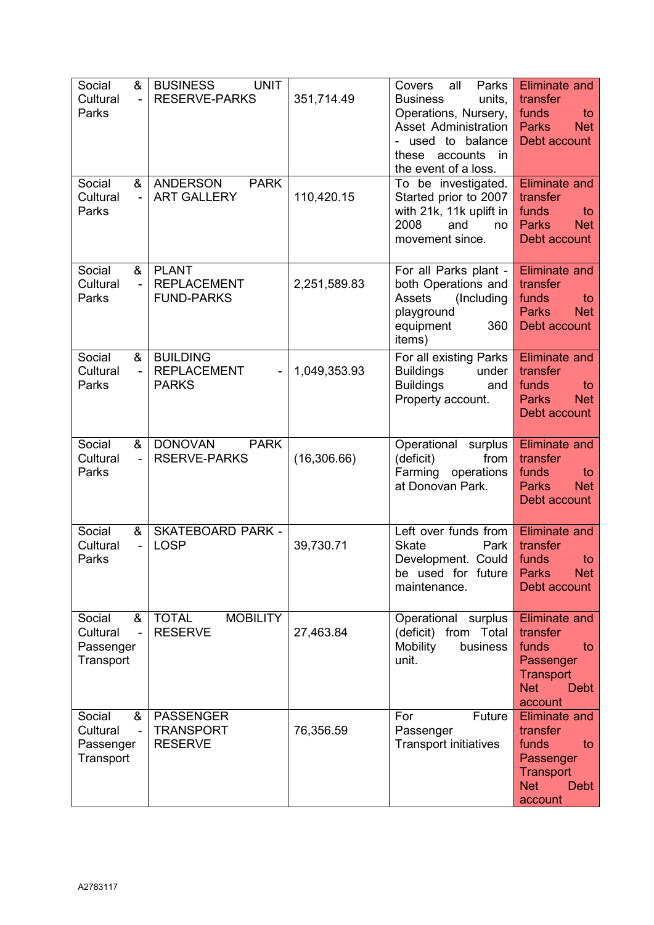| Social<br>&<br>Cultural<br>$\blacksquare$<br>Parks                  | <b>BUSINESS</b><br><b>UNIT</b><br><b>RESERVE-PARKS</b>  | 351,714.49   | all<br>Parks<br>Covers<br><b>Business</b><br>units,<br>Operations, Nursery,<br>Asset Administration<br>used to balance<br>these<br>accounts<br>in<br>the event of a loss. | <b>Eliminate and</b><br>transfer<br>funds<br>to<br><b>Parks</b><br><b>Net</b><br>Debt account                            |
|---------------------------------------------------------------------|---------------------------------------------------------|--------------|---------------------------------------------------------------------------------------------------------------------------------------------------------------------------|--------------------------------------------------------------------------------------------------------------------------|
| Social<br>&<br>Cultural<br>Parks                                    | <b>PARK</b><br><b>ANDERSON</b><br><b>ART GALLERY</b>    | 110,420.15   | To be investigated.<br>Started prior to 2007<br>with 21k, 11k uplift in<br>2008<br>and<br>no<br>movement since.                                                           | <b>Eliminate and</b><br>transfer<br>funds<br>to<br><b>Parks</b><br><b>Net</b><br>Debt account                            |
| Social<br>&<br>Cultural<br>$\sim$<br>Parks                          | <b>PLANT</b><br><b>REPLACEMENT</b><br><b>FUND-PARKS</b> | 2,251,589.83 | For all Parks plant -<br>both Operations and<br><b>Assets</b><br>(Including<br>playground<br>equipment<br>360<br>items)                                                   | <b>Eliminate and</b><br>transfer<br>funds<br>to<br><b>Net</b><br><b>Parks</b><br>Debt account                            |
| Social<br>&<br>Cultural<br>Parks                                    | <b>BUILDING</b><br><b>REPLACEMENT</b><br><b>PARKS</b>   | 1,049,353.93 | For all existing Parks<br><b>Buildings</b><br>under<br><b>Buildings</b><br>and<br>Property account.                                                                       | <b>Eliminate and</b><br>transfer<br>funds<br>to<br><b>Parks</b><br><b>Net</b><br>Debt account                            |
| Social<br>&<br>Cultural<br>Parks                                    | <b>DONOVAN</b><br><b>PARK</b><br><b>RSERVE-PARKS</b>    | (16, 306.66) | Operational surplus<br>(deficit)<br>from<br>Farming<br>operations<br>at Donovan Park.                                                                                     | <b>Eliminate and</b><br>transfer<br>funds<br>to<br><b>Parks</b><br><b>Net</b><br>Debt account                            |
| Social<br>&<br>Cultural<br>Parks                                    | <b>SKATEBOARD PARK -</b><br><b>LOSP</b>                 | 39,730.71    | Left over funds from<br><b>Skate</b><br>Park<br>Development. Could<br>be used for future<br>maintenance.                                                                  | <b>Eliminate and</b><br>transfer<br>funds<br>to<br>Parks<br><b>Net</b><br>Debt account                                   |
| Social<br>&<br>Cultural<br>$\blacksquare$<br>Passenger<br>Transport | <b>TOTAL</b><br><b>MOBILITY</b><br><b>RESERVE</b>       | 27,463.84    | Operational surplus<br>(deficit) from Total<br>Mobility<br>business<br>unit.                                                                                              | <b>Eliminate and</b><br>transfer<br>funds<br>to<br>Passenger<br><b>Transport</b><br><b>Net</b><br><b>Debt</b><br>account |
| Social<br>&<br>Cultural<br>$\blacksquare$<br>Passenger<br>Transport | <b>PASSENGER</b><br><b>TRANSPORT</b><br><b>RESERVE</b>  | 76,356.59    | For<br>Future<br>Passenger<br><b>Transport initiatives</b>                                                                                                                | <b>Eliminate and</b><br>transfer<br>funds<br>to<br>Passenger<br><b>Transport</b><br><b>Net</b><br><b>Debt</b><br>account |